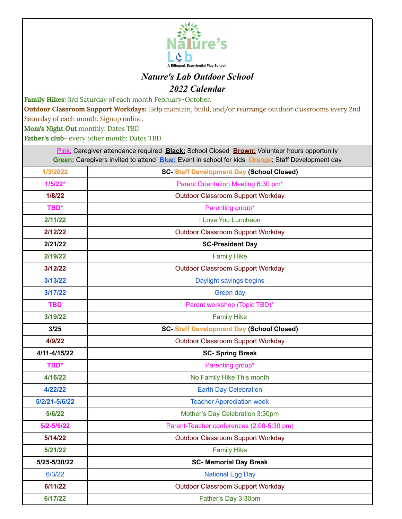

## *Nature's Lab Outdoor School 2022 Calendar*

**Family Hikes:** 3rd Saturday of each month February-October.

**Outdoor Classroom Support Workdays:** Help maintain, build, and/or rearrange outdoor classrooms every 2nd

Saturday of each month. Signup online.

**Mom's Night Out** monthly: Dates TBD

**Father's club**- every other month: Dates TBD

| Pink: Caregiver attendance required <b>Black:</b> School Closed <b>Brown:</b> Volunteer hours opportunity<br>Green: Caregivers invited to attend Blue: Event in school for kids Orange: Staff Development day |                                                 |
|---------------------------------------------------------------------------------------------------------------------------------------------------------------------------------------------------------------|-------------------------------------------------|
| 1/3/2022                                                                                                                                                                                                      | <b>SC-Staff Development Day (School Closed)</b> |
| $1/5/22*$                                                                                                                                                                                                     | Parent Orientation Meeting 6:30 pm*             |
| 1/8/22                                                                                                                                                                                                        | <b>Outdoor Classroom Support Workday</b>        |
| TBD*                                                                                                                                                                                                          | Parenting group*                                |
| 2/11/22                                                                                                                                                                                                       | I Love You Luncheon                             |
| 2/12/22                                                                                                                                                                                                       | Outdoor Classroom Support Workday               |
| 2/21/22                                                                                                                                                                                                       | <b>SC-President Day</b>                         |
| 2/19/22                                                                                                                                                                                                       | <b>Family Hike</b>                              |
| 3/12/22                                                                                                                                                                                                       | Outdoor Classroom Support Workday               |
| 3/13/22                                                                                                                                                                                                       | Daylight savings begins                         |
| 3/17/22                                                                                                                                                                                                       | Green day                                       |
| <b>TBD</b>                                                                                                                                                                                                    | Parent workshop (Topic TBD)*                    |
| 3/19/22                                                                                                                                                                                                       | <b>Family Hike</b>                              |
| 3/25                                                                                                                                                                                                          | <b>SC-Staff Development Day (School Closed)</b> |
| 4/9/22                                                                                                                                                                                                        | <b>Outdoor Classroom Support Workday</b>        |
| 4/11-4/15/22                                                                                                                                                                                                  | <b>SC-Spring Break</b>                          |
| TBD*                                                                                                                                                                                                          | Parenting group*                                |
| 4/16/22                                                                                                                                                                                                       | No Family Hike This month                       |
| 4/22/22                                                                                                                                                                                                       | <b>Earth Day Celebration</b>                    |
| 5/2/21-5/6/22                                                                                                                                                                                                 | <b>Teacher Appreciation week</b>                |
| 5/6/22                                                                                                                                                                                                        | Mother's Day Celebration 3:30pm                 |
| 5/2-5/6/22                                                                                                                                                                                                    | Parent-Teacher conferences (2:00-5:30 pm)       |
| 5/14/22                                                                                                                                                                                                       | Outdoor Classroom Support Workday               |
| 5/21/22                                                                                                                                                                                                       | <b>Family Hike</b>                              |
| 5/25-5/30/22                                                                                                                                                                                                  | <b>SC- Memorial Day Break</b>                   |
| 6/3/22                                                                                                                                                                                                        | <b>National Egg Day</b>                         |
| 6/11/22                                                                                                                                                                                                       | <b>Outdoor Classroom Support Workday</b>        |
| 6/17/22                                                                                                                                                                                                       | Father's Day 3:30pm                             |